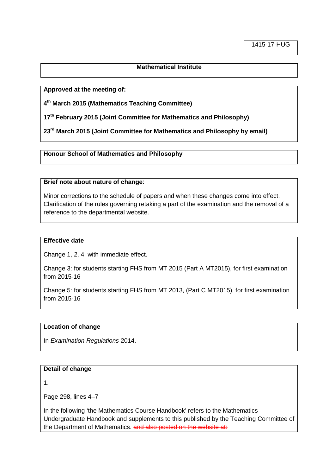# **Mathematical Institute**

**Approved at the meeting of:**

**4 th March 2015 (Mathematics Teaching Committee)**

**17th February 2015 (Joint Committee for Mathematics and Philosophy)**

**23rd March 2015 (Joint Committee for Mathematics and Philosophy by email)**

**Honour School of Mathematics and Philosophy**

#### **Brief note about nature of change**:

Minor corrections to the schedule of papers and when these changes come into effect. Clarification of the rules governing retaking a part of the examination and the removal of a reference to the departmental website.

# **Effective date**

Change 1, 2, 4: with immediate effect.

Change 3: for students starting FHS from MT 2015 (Part A MT2015), for first examination from 2015-16

Change 5: for students starting FHS from MT 2013, (Part C MT2015), for first examination from 2015-16

### **Location of change**

In *Examination Regulations* 2014.

### **Detail of change**

1.

Page 298, lines 4–7

In the following 'the Mathematics Course Handbook' refers to the Mathematics Undergraduate Handbook and supplements to this published by the Teaching Committee of the Department of Mathematics. and also posted on the website at: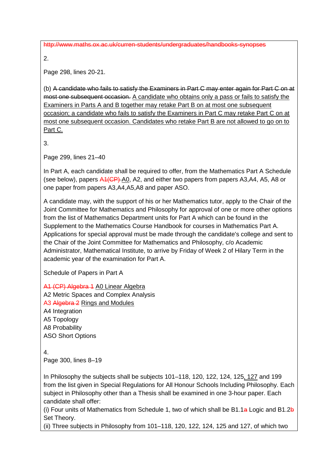http://www.maths.ox.ac.uk/curren-students/undergraduates/handbooks-synopses

2.

Page 298, lines 20-21.

(b) A candidate who fails to satisfy the Examiners in Part C may enter again for Part C on at most one subsequent occasion. A candidate who obtains only a pass or fails to satisfy the Examiners in Parts A and B together may retake Part B on at most one subsequent occasion; a candidate who fails to satisfy the Examiners in Part C may retake Part C on at most one subsequent occasion. Candidates who retake Part B are not allowed to go on to Part C.

3.

Page 299, lines 21–40

In Part A, each candidate shall be required to offer, from the Mathematics Part A Schedule (see below), papers  $\frac{\text{A1(CP)}}{\text{A0}}$ , A2, and either two papers from papers A3, A4, A5, A8 or one paper from papers A3,A4,A5,A8 and paper ASO.

A candidate may, with the support of his or her Mathematics tutor, apply to the Chair of the Joint Committee for Mathematics and Philosophy for approval of one or more other options from the list of Mathematics Department units for Part A which can be found in the Supplement to the Mathematics Course Handbook for courses in Mathematics Part A. Applications for special approval must be made through the candidate's college and sent to the Chair of the Joint Committee for Mathematics and Philosophy, c/o Academic Administrator, Mathematical Institute, to arrive by Friday of Week 2 of Hilary Term in the academic year of the examination for Part A.

Schedule of Papers in Part A

A1 (CP) Algebra 1 A0 Linear Algebra A2 Metric Spaces and Complex Analysis A3 Algebra 2 Rings and Modules A4 Integration A5 Topology A8 Probability ASO Short Options

4.

Page 300, lines 8–19

In Philosophy the subjects shall be subjects 101–118, 120, 122, 124, 125, 127 and 199 from the list given in Special Regulations for All Honour Schools Including Philosophy. Each subject in Philosophy other than a Thesis shall be examined in one 3-hour paper. Each candidate shall offer:

(i) Four units of Mathematics from Schedule 1, two of which shall be B1.1a Logic and B1.2b Set Theory.

(ii) Three subjects in Philosophy from 101–118, 120, 122, 124, 125 and 127, of which two